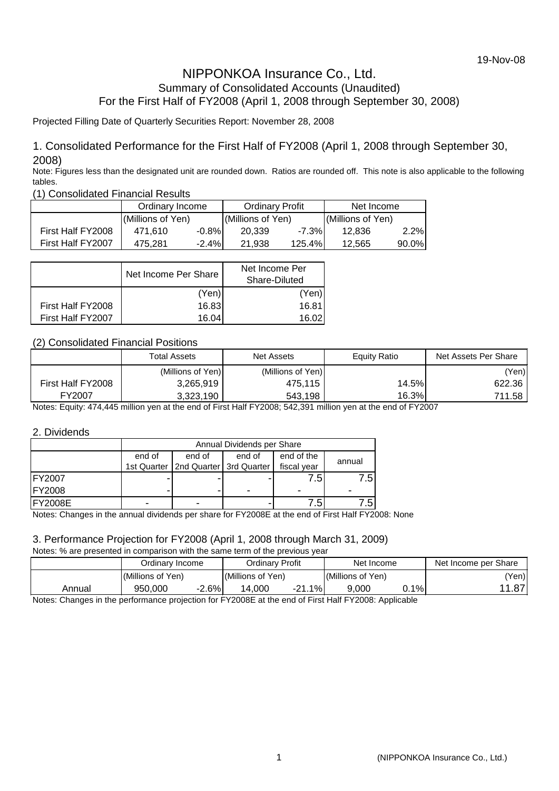## NIPPONKOA Insurance Co., Ltd. Summary of Consolidated Accounts (Unaudited) For the First Half of FY2008 (April 1, 2008 through September 30, 2008)

### Projected Filling Date of Quarterly Securities Report: November 28, 2008

### 1. Consolidated Performance for the First Half of FY2008 (April 1, 2008 through September 30, 2008)

Note: Figures less than the designated unit are rounded down. Ratios are rounded off. This note is also applicable to the following tables.

(1) Consolidated Financial Results

|                   | Ordinary Income   |          | <b>Ordinary Profit</b> |          | Net Income        |          |
|-------------------|-------------------|----------|------------------------|----------|-------------------|----------|
|                   | (Millions of Yen) |          | (Millions of Yen)      |          | (Millions of Yen) |          |
| First Half FY2008 | 471.610           | $-0.8\%$ | 20.339                 | $-7.3\%$ | 12.836            | 2.2%     |
| First Half FY2007 | 475.281           | $-2.4\%$ | 21.938                 | 125.4%।  | 12.565            | $90.0\%$ |

|                   | Net Income Per Share | Net Income Per<br>Share-Diluted |
|-------------------|----------------------|---------------------------------|
|                   | (Yen)                | (Yen)                           |
| First Half FY2008 | 16.83                | 16.81                           |
| First Half FY2007 | 16.04                | 16.02                           |

### (2) Consolidated Financial Positions

|                   | <b>Total Assets</b> | <b>Net Assets</b> | Equity Ratio | Net Assets Per Share |
|-------------------|---------------------|-------------------|--------------|----------------------|
|                   | (Millions of Yen)   | (Millions of Yen) |              | (Yen)                |
| First Half FY2008 | 3,265,919           | 475.115           | 14.5%        | 622.36               |
| FY2007            | 3,323,190           | 543.198           | 16.3%        | 711.58               |

Notes: Equity: 474,445 million yen at the end of First Half FY2008; 542,391 million yen at the end of FY2007

### 2. Dividends

|                | Annual Dividends per Share |                                         |        |             |        |  |  |  |  |  |
|----------------|----------------------------|-----------------------------------------|--------|-------------|--------|--|--|--|--|--|
|                | end of                     | end of                                  | end of | end of the  | annual |  |  |  |  |  |
|                |                            | 1st Quarter   2nd Quarter   3rd Quarter |        | fiscal year |        |  |  |  |  |  |
| <b>FY2007</b>  |                            |                                         |        | 7.5         | 7.51   |  |  |  |  |  |
| <b>FY2008</b>  |                            |                                         |        |             |        |  |  |  |  |  |
| <b>FY2008E</b> | -                          | ۰                                       |        | 7.5         |        |  |  |  |  |  |

Notes: Changes in the annual dividends per share for FY2008E at the end of First Half FY2008: None

## 3. Performance Projection for FY2008 (April 1, 2008 through March 31, 2009)

Notes: % are presented in comparison with the same term of the previous year

| Ordinarv Profit<br>Net Income per Share<br>Net Income<br>Ordinarv Income       |       |
|--------------------------------------------------------------------------------|-------|
|                                                                                |       |
| (Millions of Yen)<br>(Millions of Yen)<br>(Millions of Yen)                    | Yen)l |
| $-2.6%$<br>$1\%$<br>-21.<br>1%<br>950.000<br>14.000<br>9.000<br>Annual<br>υ. ι | .87'  |

Notes: Changes in the performance projection for FY2008E at the end of First Half FY2008: Applicable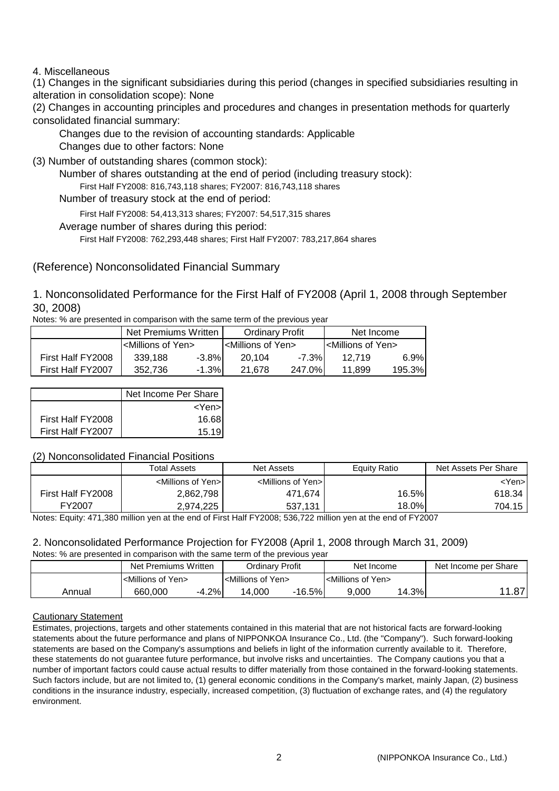### 4. Miscellaneous

(1) Changes in the significant subsidiaries during this period (changes in specified subsidiaries resulting in alteration in consolidation scope): None

(2) Changes in accounting principles and procedures and changes in presentation methods for quarterly consolidated financial summary:

 Changes due to the revision of accounting standards: Applicable Changes due to other factors: None

(3) Number of outstanding shares (common stock):

Number of shares outstanding at the end of period (including treasury stock):

First Half FY2008: 816,743,118 shares; FY2007: 816,743,118 shares

Number of treasury stock at the end of period:

First Half FY2008: 54,413,313 shares; FY2007: 54,517,315 shares

Average number of shares during this period:

First Half FY2008: 762,293,448 shares; First Half FY2007: 783,217,864 shares

(Reference) Nonconsolidated Financial Summary

1. Nonconsolidated Performance for the First Half of FY2008 (April 1, 2008 through September 30, 2008)

Notes: % are presented in comparison with the same term of the previous year

|                   | Net Premiums Written                 |          | <b>Ordinary Profit</b>             |        | Net Income                           |         |
|-------------------|--------------------------------------|----------|------------------------------------|--------|--------------------------------------|---------|
|                   | I <millions of="" yen=""></millions> |          | <millions of="" yen=""></millions> |        | I <millions of="" yen=""></millions> |         |
| First Half FY2008 | 339.188                              | $-3.8\%$ | 20.104                             | -7.3%  | 12.719                               | 6.9%    |
| First Half FY2007 | 352.736                              | $-1.3%$  | 21.678                             | 247.0% | 11.899                               | 195.3%I |

|                   | Net Income Per Share |
|-------------------|----------------------|
|                   | $<$ Yen >            |
| First Half FY2008 | 16.68                |
| First Half FY2007 | 15 19                |

### (2) Nonconsolidated Financial Positions

|                   | <b>Total Assets</b>                 | Net Assets                          | Equity Ratio | Net Assets Per Share |
|-------------------|-------------------------------------|-------------------------------------|--------------|----------------------|
|                   | <millions of="" yen="">I</millions> | <millions of="" yen="">I</millions> |              | <yen>l</yen>         |
| First Half FY2008 | 2,862,798                           | 471,674                             | 16.5%        | 618.34               |
| FY2007            | 2,974,225                           | 537,131                             | 18.0%        | 704.15               |

Notes: Equity: 471,380 million yen at the end of First Half FY2008; 536,722 million yen at the end of FY2007

## 2. Nonconsolidated Performance Projection for FY2008 (April 1, 2008 through March 31, 2009)

Notes: % are presented in comparison with the same term of the previous year

|        | Net Premiums Written               |         | Ordinarv Profit                    |       | Net Income                         |       | Net Income per Share |
|--------|------------------------------------|---------|------------------------------------|-------|------------------------------------|-------|----------------------|
|        | <millions of="" yen=""></millions> |         | <millions of="" yen=""></millions> |       | <millions of="" yen=""></millions> |       |                      |
| Annual | 660,000                            | $-4.2%$ | 14.000                             | 16.5% | 9.000                              | 14.3% | - 07'                |

### Cautionary Statement

Estimates, projections, targets and other statements contained in this material that are not historical facts are forward-looking statements about the future performance and plans of NIPPONKOA Insurance Co., Ltd. (the "Company"). Such forward-looking statements are based on the Company's assumptions and beliefs in light of the information currently available to it. Therefore, these statements do not guarantee future performance, but involve risks and uncertainties. The Company cautions you that a number of important factors could cause actual results to differ materially from those contained in the forward-looking statements. Such factors include, but are not limited to, (1) general economic conditions in the Company's market, mainly Japan, (2) business conditions in the insurance industry, especially, increased competition, (3) fluctuation of exchange rates, and (4) the regulatory environment.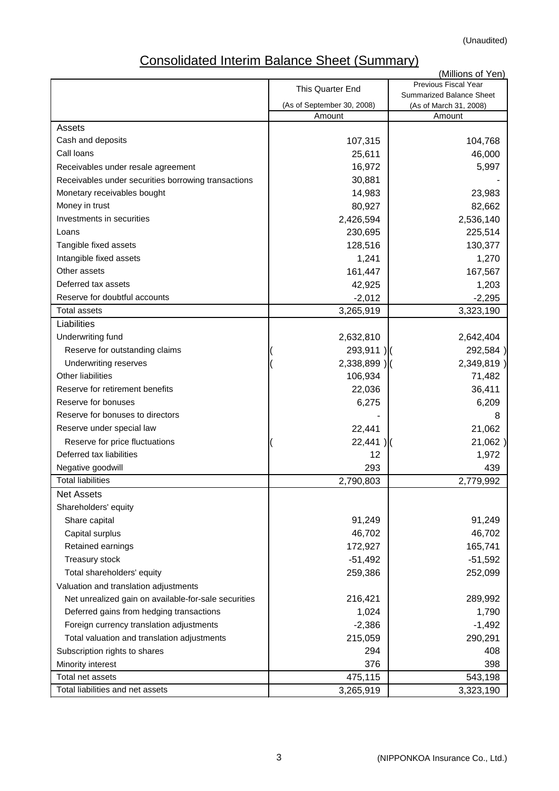# Consolidated Interim Balance Sheet (Summary)

|                                                      |                            | (Millions of Yen)                                  |
|------------------------------------------------------|----------------------------|----------------------------------------------------|
|                                                      | This Quarter End           | Previous Fiscal Year                               |
|                                                      | (As of September 30, 2008) | Summarized Balance Sheet<br>(As of March 31, 2008) |
|                                                      | Amount                     | Amount                                             |
| Assets                                               |                            |                                                    |
| Cash and deposits                                    | 107,315                    | 104,768                                            |
| Call Ioans                                           | 25,611                     | 46,000                                             |
| Receivables under resale agreement                   | 16,972                     | 5,997                                              |
| Receivables under securities borrowing transactions  | 30,881                     |                                                    |
| Monetary receivables bought                          | 14,983                     | 23,983                                             |
| Money in trust                                       | 80,927                     | 82,662                                             |
| Investments in securities                            | 2,426,594                  | 2,536,140                                          |
| Loans                                                | 230,695                    | 225,514                                            |
| Tangible fixed assets                                | 128,516                    | 130,377                                            |
| Intangible fixed assets                              | 1,241                      | 1,270                                              |
| Other assets                                         | 161,447                    | 167,567                                            |
| Deferred tax assets                                  | 42,925                     | 1,203                                              |
| Reserve for doubtful accounts                        | $-2,012$                   | $-2,295$                                           |
| <b>Total assets</b>                                  | 3,265,919                  | 3,323,190                                          |
| Liabilities                                          |                            |                                                    |
| Underwriting fund                                    | 2,632,810                  | 2,642,404                                          |
| Reserve for outstanding claims                       | 293,911)                   | 292,584)                                           |
| Underwriting reserves                                | $2,338,899$ )              | 2,349,819)                                         |
| <b>Other liabilities</b>                             | 106,934                    | 71,482                                             |
| Reserve for retirement benefits                      | 22,036                     | 36,411                                             |
| Reserve for bonuses                                  | 6,275                      | 6,209                                              |
| Reserve for bonuses to directors                     |                            | 8                                                  |
| Reserve under special law                            | 22,441                     | 21,062                                             |
| Reserve for price fluctuations                       | 22,441                     | 21,062)                                            |
| Deferred tax liabilities                             | 12                         | 1,972                                              |
| Negative goodwill                                    | 293                        | 439                                                |
| <b>Total liabilities</b>                             | 2,790,803                  | 2,779,992                                          |
| <b>Net Assets</b>                                    |                            |                                                    |
| Shareholders' equity                                 |                            |                                                    |
| Share capital                                        | 91,249                     | 91,249                                             |
| Capital surplus                                      | 46,702                     | 46,702                                             |
| Retained earnings                                    | 172,927                    | 165,741                                            |
| Treasury stock                                       | $-51,492$                  | $-51,592$                                          |
| Total shareholders' equity                           | 259,386                    | 252,099                                            |
| Valuation and translation adjustments                |                            |                                                    |
| Net unrealized gain on available-for-sale securities | 216,421                    | 289,992                                            |
| Deferred gains from hedging transactions             | 1,024                      | 1,790                                              |
| Foreign currency translation adjustments             | $-2,386$                   | $-1,492$                                           |
| Total valuation and translation adjustments          | 215,059                    | 290,291                                            |
| Subscription rights to shares                        | 294                        | 408                                                |
| Minority interest                                    | 376                        | 398                                                |
| Total net assets                                     | 475,115                    | 543,198                                            |
| Total liabilities and net assets                     | 3,265,919                  | 3,323,190                                          |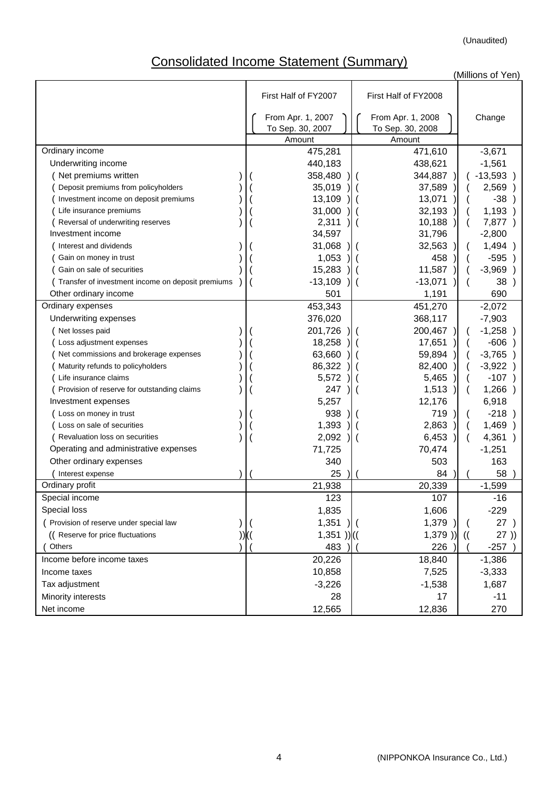# Consolidated Income Statement (Summary)

(Millions of Yen)

|                                                   | First Half of FY2008<br>First Half of FY2007 |                                                 |                                                 |               |           |
|---------------------------------------------------|----------------------------------------------|-------------------------------------------------|-------------------------------------------------|---------------|-----------|
|                                                   |                                              | From Apr. 1, 2007<br>To Sep. 30, 2007<br>Amount | From Apr. 1, 2008<br>To Sep. 30, 2008<br>Amount |               | Change    |
| Ordinary income                                   |                                              | 475,281                                         | 471,610                                         |               | $-3,671$  |
| Underwriting income                               |                                              | 440,183                                         | 438,621                                         |               | $-1,561$  |
| Net premiums written                              |                                              | 358,480                                         | 344,887                                         |               | $-13,593$ |
| Deposit premiums from policyholders               |                                              | 35,019                                          | 37,589                                          |               | 2,569     |
| Investment income on deposit premiums             |                                              | 13,109                                          | 13,071                                          |               | $-38$     |
| Life insurance premiums                           |                                              | 31,000                                          | 32,193                                          |               | 1,193     |
| Reversal of underwriting reserves                 |                                              | 2,311                                           | 10,188                                          |               | 7,877 )   |
| Investment income                                 |                                              | 34,597                                          | 31,796                                          |               | $-2,800$  |
| Interest and dividends                            |                                              | 31,068                                          | 32,563                                          |               | 1,494     |
| Gain on money in trust                            |                                              | 1,053                                           | 458                                             |               | $-595$    |
| Gain on sale of securities                        |                                              | 15,283                                          | 11,587                                          |               | $-3,969$  |
| Transfer of investment income on deposit premiums |                                              | $-13,109$                                       | $-13,071$                                       |               | 38        |
| Other ordinary income                             |                                              | 501                                             | 1,191                                           |               | 690       |
| Ordinary expenses                                 |                                              | 453,343                                         | 451,270                                         |               | $-2,072$  |
| Underwriting expenses                             |                                              | 376,020                                         | 368,117                                         |               | $-7,903$  |
| Net losses paid                                   |                                              | 201,726                                         | 200,467                                         |               | $-1,258$  |
| Loss adjustment expenses                          |                                              | 18,258                                          | 17,651                                          |               | $-606$    |
| Net commissions and brokerage expenses            |                                              | 63,660                                          | 59,894                                          |               | $-3,765$  |
| Maturity refunds to policyholders                 |                                              | 86,322                                          | 82,400                                          |               | $-3,922$  |
| Life insurance claims                             |                                              | 5,572                                           | 5,465                                           |               | $-107$    |
| Provision of reserve for outstanding claims       |                                              | 247                                             | 1,513                                           |               | $1,266$ ) |
| Investment expenses                               |                                              | 5,257                                           | 12,176                                          |               | 6,918     |
| Loss on money in trust                            |                                              | 938                                             | 719                                             |               | $-218$    |
| Loss on sale of securities                        |                                              | 1,393                                           | 2,863                                           |               | 1,469     |
| Revaluation loss on securities                    |                                              | 2,092                                           | 6,453                                           |               | 4,361     |
| Operating and administrative expenses             |                                              | 71,725                                          | 70,474                                          |               | $-1,251$  |
| Other ordinary expenses                           |                                              | 340                                             | 503                                             |               | 163       |
| Interest expense                                  |                                              | 25                                              | 84                                              |               | 58        |
| Ordinary profit                                   |                                              | 21,938                                          | 20,339                                          |               | $-1,599$  |
| Special income                                    |                                              | 123                                             | 107                                             |               | $-16$     |
| Special loss                                      |                                              | 1,835                                           | 1,606                                           |               | $-229$    |
| Provision of reserve under special law            |                                              | 1,351                                           | 1,379                                           |               | 27)       |
| (( Reserve for price fluctuations                 |                                              | $1,351$ )) $($                                  | 1,379)                                          | $\mathcal{H}$ | 27)       |
| Others                                            |                                              | 483                                             | 226                                             |               | $-257$    |
| Income before income taxes                        |                                              | 20,226                                          | 18,840                                          |               | $-1,386$  |
| Income taxes                                      |                                              | 10,858                                          | 7,525                                           |               | $-3,333$  |
| Tax adjustment                                    |                                              | $-3,226$                                        | $-1,538$                                        |               | 1,687     |
| Minority interests                                |                                              | 28                                              | 17                                              |               | $-11$     |
| Net income                                        |                                              | 12,565                                          | 12,836                                          |               | 270       |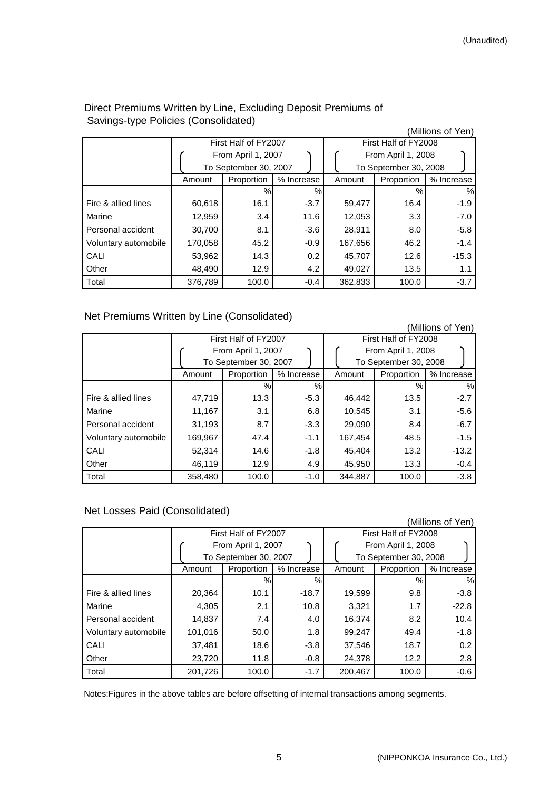(Millions of Yen)

|                      |         | First Half of FY2007  |            |                       | First Half of FY2008 |            |  |  |
|----------------------|---------|-----------------------|------------|-----------------------|----------------------|------------|--|--|
|                      |         | From April 1, 2007    |            |                       | From April 1, 2008   |            |  |  |
|                      |         | To September 30, 2007 |            | To September 30, 2008 |                      |            |  |  |
|                      | Amount  | Proportion            | % Increase | Amount                | Proportion           | % Increase |  |  |
|                      |         | %                     | %          |                       | %                    | %          |  |  |
| Fire & allied lines  | 60,618  | 16.1                  | $-3.7$     | 59,477                | 16.4                 | $-1.9$     |  |  |
| Marine               | 12,959  | 3.4                   | 11.6       | 12,053                | 3.3                  | $-7.0$     |  |  |
| Personal accident    | 30,700  | 8.1                   | $-3.6$     | 28,911                | 8.0                  | $-5.8$     |  |  |
| Voluntary automobile | 170,058 | 45.2                  | $-0.9$     | 167,656               | 46.2                 | $-1.4$     |  |  |
| CALI                 | 53,962  | 14.3                  | 0.2        | 45,707                | 12.6                 | $-15.3$    |  |  |
| Other                | 48,490  | 12.9                  | 4.2        | 49.027                | 13.5                 | 1.1        |  |  |
| Total                | 376,789 | 100.0                 | $-0.4$     | 362,833               | 100.0                | $-3.7$     |  |  |

### Direct Premiums Written by Line, Excluding Deposit Premiums of Savings-type Policies (Consolidated)

### Net Premiums Written by Line (Consolidated)

| (Millions of Yen)    |         |                       |            |         |                       |            |  |  |  |
|----------------------|---------|-----------------------|------------|---------|-----------------------|------------|--|--|--|
|                      |         | First Half of FY2007  |            |         | First Half of FY2008  |            |  |  |  |
|                      |         | From April 1, 2007    |            |         | From April 1, 2008    |            |  |  |  |
|                      |         | To September 30, 2007 |            |         | To September 30, 2008 |            |  |  |  |
|                      | Amount  | Proportion            | % Increase | Amount  | Proportion            | % Increase |  |  |  |
|                      |         | %                     | %          |         | %                     | $\%$       |  |  |  |
| Fire & allied lines  | 47,719  | 13.3                  | $-5.3$     | 46,442  | 13.5                  | $-2.7$     |  |  |  |
| Marine               | 11,167  | 3.1                   | 6.8        | 10,545  | 3.1                   | $-5.6$     |  |  |  |
| Personal accident    | 31,193  | 8.7                   | $-3.3$     | 29,090  | 8.4                   | $-6.7$     |  |  |  |
| Voluntary automobile | 169,967 | 47.4                  | $-1.1$     | 167,454 | 48.5                  | $-1.5$     |  |  |  |
| CALI                 | 52,314  | 14.6                  | $-1.8$     | 45,404  | 13.2                  | $-13.2$    |  |  |  |
| Other                | 46,119  | 12.9                  | 4.9        | 45,950  | 13.3                  | $-0.4$     |  |  |  |
| Total                | 358,480 | 100.0                 | $-1.0$     | 344,887 | 100.0                 | $-3.8$     |  |  |  |

## Net Losses Paid (Consolidated)

|                      |         |                       |               |         |                       | (Millions of Yen) |
|----------------------|---------|-----------------------|---------------|---------|-----------------------|-------------------|
|                      |         | First Half of FY2007  |               |         | First Half of FY2008  |                   |
|                      |         | From April 1, 2007    |               |         | From April 1, 2008    |                   |
|                      |         | To September 30, 2007 |               |         | To September 30, 2008 |                   |
|                      | Amount  | Proportion            | % Increase    | Amount  | Proportion            | % Increase        |
|                      |         | $\%$                  | $\frac{0}{0}$ |         | %                     | $\%$              |
| Fire & allied lines  | 20,364  | 10.1                  | $-18.7$       | 19,599  | 9.8                   | $-3.8$            |
| Marine               | 4,305   | 2.1                   | 10.8          | 3,321   | 1.7                   | $-22.8$           |
| Personal accident    | 14,837  | 7.4                   | 4.0           | 16,374  | 8.2                   | 10.4              |
| Voluntary automobile | 101,016 | 50.0                  | 1.8           | 99,247  | 49.4                  | $-1.8$            |
| CALI                 | 37,481  | 18.6                  | $-3.8$        | 37,546  | 18.7                  | 0.2               |
| Other                | 23,720  | 11.8                  | $-0.8$        | 24,378  | 12.2                  | 2.8               |
| Total                | 201,726 | 100.0                 | $-1.7$        | 200,467 | 100.0                 | $-0.6$            |

Notes:Figures in the above tables are before offsetting of internal transactions among segments.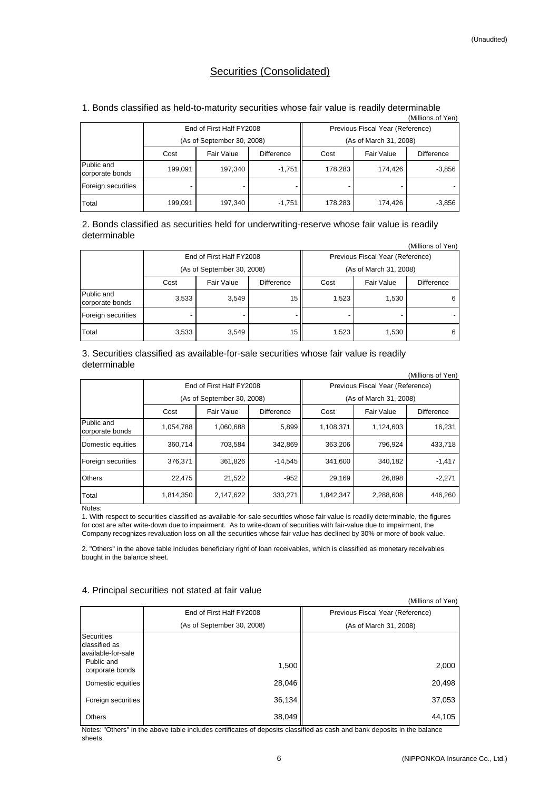### Securities (Consolidated)

| 1. Bonds classified as held-to-maturity securities whose fair value is readily determinable |  |  |
|---------------------------------------------------------------------------------------------|--|--|

|                               |         |                            |            |         |                                  | (Millions of Yen) |  |  |
|-------------------------------|---------|----------------------------|------------|---------|----------------------------------|-------------------|--|--|
|                               |         | End of First Half FY2008   |            |         | Previous Fiscal Year (Reference) |                   |  |  |
|                               |         | (As of September 30, 2008) |            |         | (As of March 31, 2008)           |                   |  |  |
|                               | Cost    | Fair Value                 | Difference | Cost    | Fair Value                       | Difference        |  |  |
| Public and<br>corporate bonds | 199,091 | 197,340                    | $-1,751$   | 178,283 | 174.426                          | $-3,856$          |  |  |
| Foreign securities            |         |                            |            |         |                                  |                   |  |  |
| Total                         | 199,091 | 197,340                    | $-1,751$   | 178,283 | 174,426                          | $-3,856$          |  |  |

2. Bonds classified as securities held for underwriting-reserve whose fair value is readily determinable

|                               |       |                            |            |                                  |                        | (Millions of Yen) |  |
|-------------------------------|-------|----------------------------|------------|----------------------------------|------------------------|-------------------|--|
|                               |       | End of First Half FY2008   |            | Previous Fiscal Year (Reference) |                        |                   |  |
|                               |       | (As of September 30, 2008) |            |                                  | (As of March 31, 2008) |                   |  |
|                               | Cost  | Fair Value                 | Difference | Cost                             | Fair Value             | Difference        |  |
| Public and<br>corporate bonds | 3,533 | 3,549                      | 15         | 1,523                            | 1,530                  | 6                 |  |
| Foreign securities            |       |                            |            |                                  |                        |                   |  |
| Total                         | 3,533 | 3,549                      | 15         | 1,523                            | 1,530                  | 6                 |  |

3. Securities classified as available-for-sale securities whose fair value is readily determinable

|                               |           |                            |                   |           |                                  | (Millions of Yen) |
|-------------------------------|-----------|----------------------------|-------------------|-----------|----------------------------------|-------------------|
|                               |           | End of First Half FY2008   |                   |           | Previous Fiscal Year (Reference) |                   |
|                               |           | (As of September 30, 2008) |                   |           | (As of March 31, 2008)           |                   |
|                               | Cost      | Fair Value                 | <b>Difference</b> | Cost      | Fair Value                       | <b>Difference</b> |
| Public and<br>corporate bonds | 1,054,788 | 1,060,688                  | 5,899             | 1,108,371 | 1,124,603                        | 16,231            |
| Domestic equities             | 360.714   | 703.584                    | 342.869           | 363.206   | 796,924                          | 433.718           |
| Foreign securities            | 376.371   | 361.826                    | $-14.545$         | 341.600   | 340.182                          | $-1,417$          |
| <b>Others</b>                 | 22,475    | 21,522                     | $-952$            | 29,169    | 26.898                           | $-2,271$          |
| Total                         | 1,814,350 | 2,147,622                  | 333,271           | 1,842,347 | 2,288,608                        | 446,260           |

Notes:

1. With respect to securities classified as available-for-sale securities whose fair value is readily determinable, the figures for cost are after write-down due to impairment. As to write-down of securities with fair-value due to impairment, the Company recognizes revaluation loss on all the securities whose fair value has declined by 30% or more of book value.

2. "Others" in the above table includes beneficiary right of loan receivables, which is classified as monetary receivables bought in the balance sheet.

#### 4. Principal securities not stated at fair value

|                                                           |                            | (Millions of Yen)                |
|-----------------------------------------------------------|----------------------------|----------------------------------|
|                                                           | End of First Half FY2008   | Previous Fiscal Year (Reference) |
|                                                           | (As of September 30, 2008) | (As of March 31, 2008)           |
| <b>Securities</b><br>classified as<br>lavailable-for-sale |                            |                                  |
| Public and<br>corporate bonds                             | 1,500                      | 2,000                            |
| Domestic equities                                         | 28,046                     | 20,498                           |
| Foreign securities                                        | 36,134                     | 37,053                           |
| <b>Others</b>                                             | 38,049                     | 44,105                           |

Notes: "Others" in the above table includes certificates of deposits classified as cash and bank deposits in the balance sheets.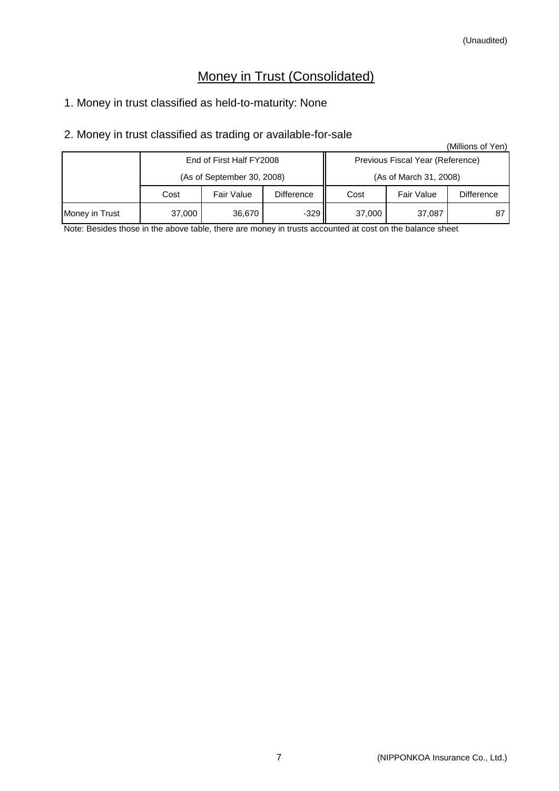# Money in Trust (Consolidated)

# 1. Money in trust classified as held-to-maturity: None

# 2. Money in trust classified as trading or available-for-sale

|                |        |                            |            |        |                                  | (Millions of Yen) |  |
|----------------|--------|----------------------------|------------|--------|----------------------------------|-------------------|--|
|                |        | End of First Half FY2008   |            |        | Previous Fiscal Year (Reference) |                   |  |
|                |        | (As of September 30, 2008) |            |        | (As of March 31, 2008)           |                   |  |
|                | Cost   | Fair Value                 | Difference | Cost   | <b>Fair Value</b>                | <b>Difference</b> |  |
| Money in Trust | 37,000 | 36,670                     | $-329$     | 37,000 | 37,087                           |                   |  |

Note: Besides those in the above table, there are money in trusts accounted at cost on the balance sheet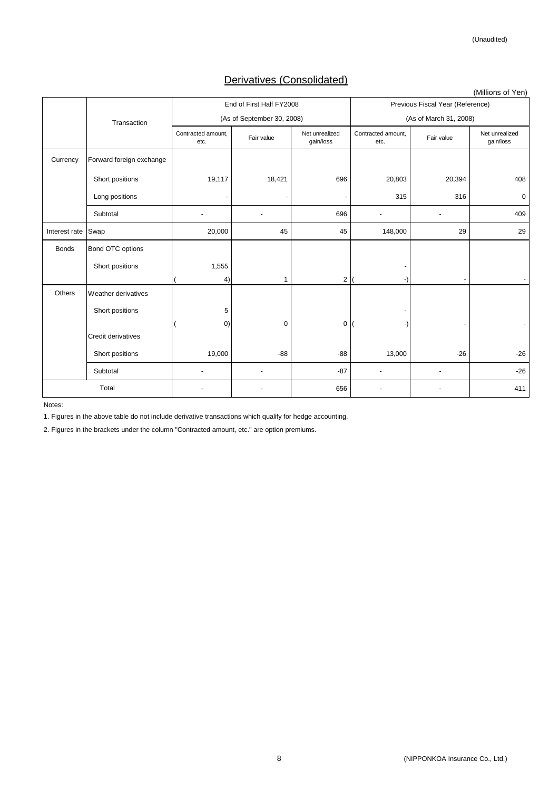# Derivatives (Consolidated)

|               |                          |                            |                            |                             |                                  |                        | (Millions of Yen)           |  |
|---------------|--------------------------|----------------------------|----------------------------|-----------------------------|----------------------------------|------------------------|-----------------------------|--|
|               |                          |                            | End of First Half FY2008   |                             | Previous Fiscal Year (Reference) |                        |                             |  |
|               | Transaction              |                            | (As of September 30, 2008) |                             |                                  | (As of March 31, 2008) |                             |  |
|               |                          | Contracted amount,<br>etc. | Fair value                 | Net unrealized<br>gain/loss | Contracted amount,<br>etc.       | Fair value             | Net unrealized<br>gain/loss |  |
| Currency      | Forward foreign exchange |                            |                            |                             |                                  |                        |                             |  |
|               | Short positions          | 19,117                     | 18,421                     | 696                         | 20,803                           | 20,394                 | 408                         |  |
|               | Long positions           |                            | ٠                          |                             | 315                              | 316                    | 0                           |  |
|               | Subtotal                 | $\overline{\phantom{a}}$   |                            | 696                         | $\overline{a}$                   |                        | 409                         |  |
| Interest rate | Swap                     | 20,000                     | 45                         | 45                          | 148,000                          | 29                     | 29                          |  |
| <b>Bonds</b>  | Bond OTC options         |                            |                            |                             |                                  |                        |                             |  |
|               | Short positions          | 1,555                      |                            |                             |                                  |                        |                             |  |
|               |                          | 4)                         | $\mathbf{1}$               | $\overline{2}$              |                                  |                        |                             |  |
| Others        | Weather derivatives      |                            |                            |                             |                                  |                        |                             |  |
|               | Short positions          | 5                          |                            |                             |                                  |                        |                             |  |
|               |                          | (0)                        | $\mathbf 0$                | $\mathsf 0$                 |                                  |                        |                             |  |
|               | Credit derivatives       |                            |                            |                             |                                  |                        |                             |  |
|               | Short positions          | 19,000                     | $-88$                      | $-88$                       | 13,000                           | $-26$                  | $-26$                       |  |
|               | Subtotal                 | $\overline{\phantom{a}}$   |                            | $-87$                       | ٠                                |                        | $-26$                       |  |
|               | Total                    |                            |                            | 656                         |                                  |                        | 411                         |  |

Notes:

1. Figures in the above table do not include derivative transactions which qualify for hedge accounting.

2. Figures in the brackets under the column "Contracted amount, etc." are option premiums.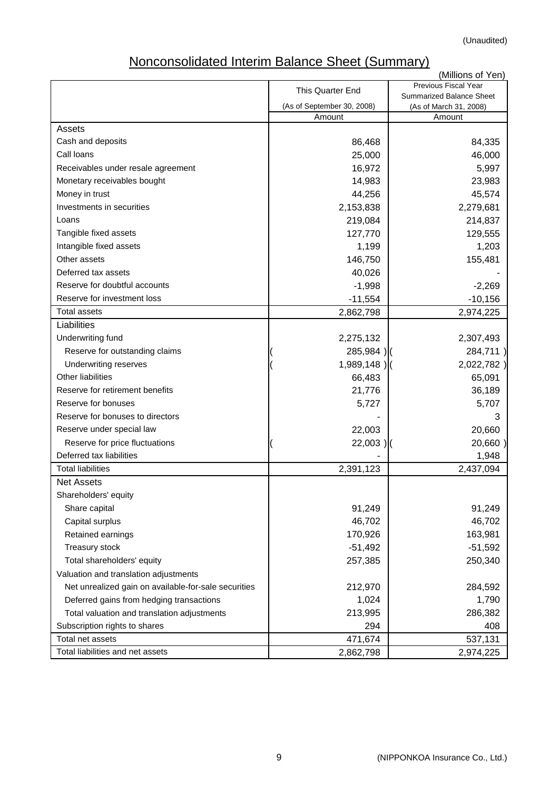# Nonconsolidated Interim Balance Sheet (Summary)

|                                                      |                            | (Millions of Yen)                                       |
|------------------------------------------------------|----------------------------|---------------------------------------------------------|
|                                                      | This Quarter End           | <b>Previous Fiscal Year</b><br>Summarized Balance Sheet |
|                                                      | (As of September 30, 2008) | (As of March 31, 2008)                                  |
|                                                      | Amount                     | Amount                                                  |
| Assets                                               |                            |                                                         |
| Cash and deposits                                    | 86,468                     | 84,335                                                  |
| Call Ioans                                           | 25,000                     | 46,000                                                  |
| Receivables under resale agreement                   | 16,972                     | 5,997                                                   |
| Monetary receivables bought                          | 14,983                     | 23,983                                                  |
| Money in trust                                       | 44,256                     | 45,574                                                  |
| Investments in securities                            | 2,153,838                  | 2,279,681                                               |
| Loans                                                | 219,084                    | 214,837                                                 |
| Tangible fixed assets                                | 127,770                    | 129,555                                                 |
| Intangible fixed assets                              | 1,199                      | 1,203                                                   |
| Other assets                                         | 146,750                    | 155,481                                                 |
| Deferred tax assets                                  | 40,026                     |                                                         |
| Reserve for doubtful accounts                        | $-1,998$                   | $-2,269$                                                |
| Reserve for investment loss                          | $-11,554$                  | $-10,156$                                               |
| <b>Total assets</b>                                  | 2,862,798                  | 2,974,225                                               |
| Liabilities                                          |                            |                                                         |
| Underwriting fund                                    | 2,275,132                  | 2,307,493                                               |
| Reserve for outstanding claims                       | 285,984)                   | 284,711)                                                |
| Underwriting reserves                                | $1,989,148$ )              | 2,022,782)                                              |
| <b>Other liabilities</b>                             | 66,483                     | 65,091                                                  |
| Reserve for retirement benefits                      | 21,776                     | 36,189                                                  |
| Reserve for bonuses                                  | 5,727                      | 5,707                                                   |
| Reserve for bonuses to directors                     |                            | 3                                                       |
| Reserve under special law                            | 22,003                     | 20,660                                                  |
| Reserve for price fluctuations                       | $22,003$ )                 | 20,660)                                                 |
| Deferred tax liabilities                             |                            | 1,948                                                   |
| <b>Total liabilities</b>                             | 2,391,123                  | 2,437,094                                               |
| <b>Net Assets</b>                                    |                            |                                                         |
| Shareholders' equity                                 |                            |                                                         |
| Share capital                                        | 91,249                     | 91,249                                                  |
| Capital surplus                                      | 46,702                     | 46,702                                                  |
| Retained earnings                                    | 170,926                    | 163,981                                                 |
| Treasury stock                                       | $-51,492$                  | $-51,592$                                               |
| Total shareholders' equity                           | 257,385                    | 250,340                                                 |
| Valuation and translation adjustments                |                            |                                                         |
| Net unrealized gain on available-for-sale securities | 212,970                    | 284,592                                                 |
| Deferred gains from hedging transactions             | 1,024                      | 1,790                                                   |
| Total valuation and translation adjustments          | 213,995                    | 286,382                                                 |
| Subscription rights to shares                        | 294                        | 408                                                     |
| Total net assets                                     | 471,674                    | 537,131                                                 |
| Total liabilities and net assets                     | 2,862,798                  | 2,974,225                                               |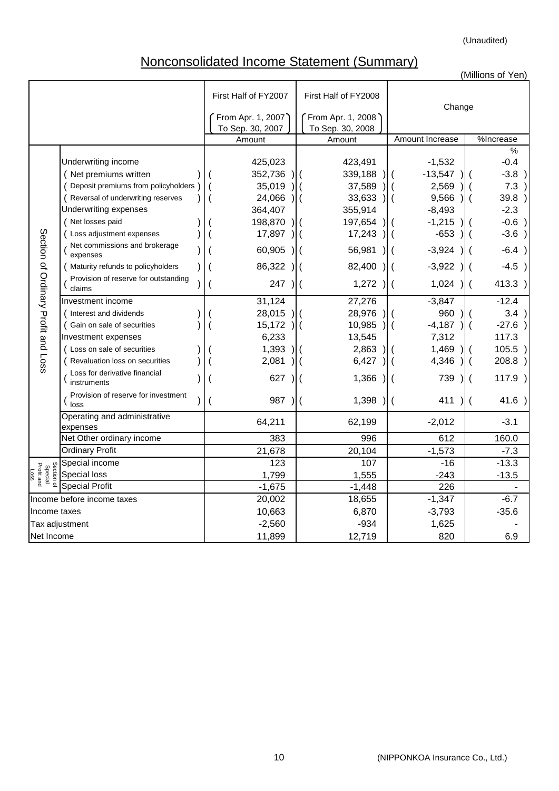# Nonconsolidated Income Statement (Summary)

|                                             |                                                |                      |                                                    |                                  | (Millions of Yen)                  |
|---------------------------------------------|------------------------------------------------|----------------------|----------------------------------------------------|----------------------------------|------------------------------------|
|                                             |                                                | First Half of FY2007 | First Half of FY2008                               | Change                           |                                    |
|                                             |                                                | From Apr. 1, 2007)   | From Apr. 1, 2008                                  |                                  |                                    |
|                                             |                                                | To Sep. 30, 2007     | To Sep. 30, 2008                                   |                                  |                                    |
|                                             |                                                | Amount               | Amount                                             | Amount Increase                  | %Increase                          |
|                                             |                                                |                      |                                                    |                                  | $\%$                               |
|                                             | Underwriting income                            | 425,023              | 423,491                                            | $-1,532$                         | $-0.4$                             |
|                                             | (Net premiums written                          | 352,736              | 339,188                                            | $-13,547$                        | $-3.8$ )                           |
|                                             | Deposit premiums from policyholders )          | 35,019               | 37,589                                             | 2,569                            | 7.3                                |
|                                             | ( Reversal of underwriting reserves            | 24,066               | 33,633                                             | 9,566                            | 39.8<br>$\lambda$                  |
|                                             | Underwriting expenses                          | 364,407              | 355,914                                            | $-8,493$                         | $-2.3$                             |
|                                             | Net losses paid                                | 198,870              | 197,654                                            | $-1,215$                         | $-0.6$ )                           |
|                                             | Loss adjustment expenses                       | 17,897               | 17,243                                             | $-653$                           | $-3.6$ )                           |
|                                             | Net commissions and brokerage<br>expenses      | 60,905               | 56,981                                             | $-3,924$                         | $-6.4$ )                           |
|                                             | Maturity refunds to policyholders              | 86,322               | 82,400                                             | $-3,922$                         | $-4.5$ )                           |
| Section of Ordinary Profit and Loss         | Provision of reserve for outstanding<br>claims | 247                  | 1,272                                              | 1,024                            | 413.3)<br>$\overline{\mathcal{H}}$ |
|                                             | Investment income                              | 31,124               | 27,276                                             | $-3,847$                         | $-12.4$                            |
|                                             | (Interest and dividends                        | 28,015               | 28,976                                             | 960                              | 3.4<br>$\overline{\phantom{0}}$    |
|                                             | ( Gain on sale of securities                   | 15,172               | 10,985                                             | $-4,187$                         | $-27.6$                            |
|                                             | Investment expenses                            | 6,233                | 13,545                                             | 7,312                            | 117.3                              |
|                                             | ( Loss on sale of securities                   | 1,393                | 2,863                                              | 1,469                            | 105.5                              |
|                                             | Revaluation loss on securities                 | 2,081                | 6,427                                              | 4,346                            | 208.8<br>$\sqrt{2}$                |
|                                             | Loss for derivative financial<br>instruments   | 627                  | 1,366                                              | 739                              | 117.9                              |
|                                             | Provision of reserve for investment<br>loss    | 987                  | 1,398<br>$\overline{\phantom{a}}$<br>$\mathcal{L}$ | 411<br>$\left($<br>$\mathcal{L}$ | 41.6 )<br>$\sqrt{2}$               |
|                                             | Operating and administrative<br>expenses       | 64,211               | 62,199                                             | $-2,012$                         | $-3.1$                             |
|                                             | Net Other ordinary income                      | 383                  | 996                                                | 612                              | 160.0                              |
|                                             | <b>Ordinary Profit</b>                         | 21,678               | 20,104                                             | $-1,573$                         | $-7.3$                             |
|                                             | Special income                                 | 123                  | 107                                                | $-16$                            | $-13.3$                            |
| Section of<br>Special<br>Profit and<br>Loss | Special loss                                   | 1,799                | 1,555                                              | $-243$                           | $-13.5$                            |
|                                             | <b>Special Profit</b>                          | $-1,675$             | $-1,448$                                           | 226                              |                                    |
|                                             | Income before income taxes                     | 20,002               | 18,655                                             | $-1,347$                         | $-6.7$                             |
| Income taxes                                |                                                | 10,663               | 6,870                                              | $-3,793$                         | $-35.6$                            |
|                                             | Tax adjustment                                 | $-2,560$             | $-934$                                             | 1,625                            |                                    |
| Net Income                                  |                                                | 11,899               | 12,719                                             | 820                              | 6.9                                |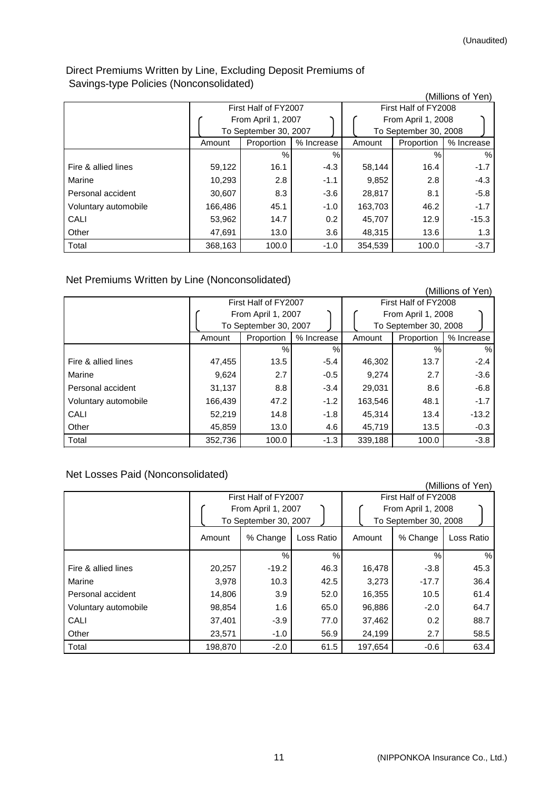# Direct Premiums Written by Line, Excluding Deposit Premiums of Savings-type Policies (Nonconsolidated)

| $\frac{1}{2}$ , $\frac{1}{2}$ , $\frac{1}{2}$ , $\frac{1}{2}$ , $\frac{1}{2}$ , $\frac{1}{2}$ , $\frac{1}{2}$ , $\frac{1}{2}$ , $\frac{1}{2}$ , $\frac{1}{2}$ |         |                       |            |         |                       | (Millions of Yen) |
|---------------------------------------------------------------------------------------------------------------------------------------------------------------|---------|-----------------------|------------|---------|-----------------------|-------------------|
|                                                                                                                                                               |         | First Half of FY2007  |            |         | First Half of FY2008  |                   |
|                                                                                                                                                               |         | From April 1, 2007    |            |         | From April 1, 2008    |                   |
|                                                                                                                                                               |         | To September 30, 2007 |            |         | To September 30, 2008 |                   |
|                                                                                                                                                               | Amount  | Proportion            | % Increase | Amount  | Proportion            | % Increase        |
|                                                                                                                                                               |         | $\frac{0}{0}$         | %          |         | $\%$                  | $\%$              |
| Fire & allied lines                                                                                                                                           | 59,122  | 16.1                  | $-4.3$     | 58,144  | 16.4                  | $-1.7$            |
| Marine                                                                                                                                                        | 10,293  | 2.8                   | $-1.1$     | 9,852   | 2.8                   | $-4.3$            |
| Personal accident                                                                                                                                             | 30,607  | 8.3                   | $-3.6$     | 28,817  | 8.1                   | $-5.8$            |
| Voluntary automobile                                                                                                                                          | 166,486 | 45.1                  | $-1.0$     | 163,703 | 46.2                  | $-1.7$            |
| CALI                                                                                                                                                          | 53,962  | 14.7                  | 0.2        | 45,707  | 12.9                  | $-15.3$           |
| Other                                                                                                                                                         | 47,691  | 13.0                  | 3.6        | 48,315  | 13.6                  | 1.3               |
| Total                                                                                                                                                         | 368,163 | 100.0                 | $-1.0$     | 354,539 | 100.0                 | $-3.7$            |

Net Premiums Written by Line (Nonconsolidated)

|                      |         |                       |            |                                             |            | (Millions of Yen) |  |
|----------------------|---------|-----------------------|------------|---------------------------------------------|------------|-------------------|--|
|                      |         | First Half of FY2007  |            | First Half of FY2008                        |            |                   |  |
|                      |         | From April 1, 2007    |            | From April 1, 2008<br>To September 30, 2008 |            |                   |  |
|                      |         | To September 30, 2007 |            |                                             |            |                   |  |
|                      | Amount  | Proportion            | % Increase | Amount                                      | Proportion | % Increase        |  |
|                      |         | $\%$                  | %          |                                             | ℅          | %                 |  |
| Fire & allied lines  | 47,455  | 13.5                  | $-5.4$     | 46,302                                      | 13.7       | $-2.4$            |  |
| Marine               | 9,624   | 2.7                   | $-0.5$     | 9,274                                       | 2.7        | $-3.6$            |  |
| Personal accident    | 31,137  | 8.8                   | $-3.4$     | 29,031                                      | 8.6        | $-6.8$            |  |
| Voluntary automobile | 166,439 | 47.2                  | $-1.2$     | 163,546                                     | 48.1       | $-1.7$            |  |
| CALI                 | 52,219  | 14.8                  | $-1.8$     | 45,314                                      | 13.4       | $-13.2$           |  |
| Other                | 45,859  | 13.0                  | 4.6        | 45,719                                      | 13.5       | $-0.3$            |  |
| Total                | 352,736 | 100.0                 | $-1.3$     | 339,188                                     | 100.0      | $-3.8$            |  |

# Net Losses Paid (Nonconsolidated)

|                      |                                                                     |               |               |                                                                     |               | (Millions of Yen) |
|----------------------|---------------------------------------------------------------------|---------------|---------------|---------------------------------------------------------------------|---------------|-------------------|
|                      | First Half of FY2007<br>From April 1, 2007<br>To September 30, 2007 |               |               | First Half of FY2008<br>From April 1, 2008<br>To September 30, 2008 |               |                   |
|                      | Amount                                                              | % Change      | Loss Ratio    | Amount                                                              | % Change      | Loss Ratio        |
|                      |                                                                     | $\frac{0}{0}$ | $\frac{0}{0}$ |                                                                     | $\frac{0}{0}$ | %                 |
| Fire & allied lines  | 20,257                                                              | $-19.2$       | 46.3          | 16,478                                                              | $-3.8$        | 45.3              |
| Marine               | 3,978                                                               | 10.3          | 42.5          | 3,273                                                               | $-17.7$       | 36.4              |
| Personal accident    | 14,806                                                              | 3.9           | 52.0          | 16,355                                                              | 10.5          | 61.4              |
| Voluntary automobile | 98,854                                                              | 1.6           | 65.0          | 96,886                                                              | $-2.0$        | 64.7              |
| CALI                 | 37,401                                                              | $-3.9$        | 77.0          | 37,462                                                              | 0.2           | 88.7              |
| Other                | 23,571                                                              | $-1.0$        | 56.9          | 24,199                                                              | 2.7           | 58.5              |
| Total                | 198,870                                                             | $-2.0$        | 61.5          | 197,654                                                             | $-0.6$        | 63.4              |